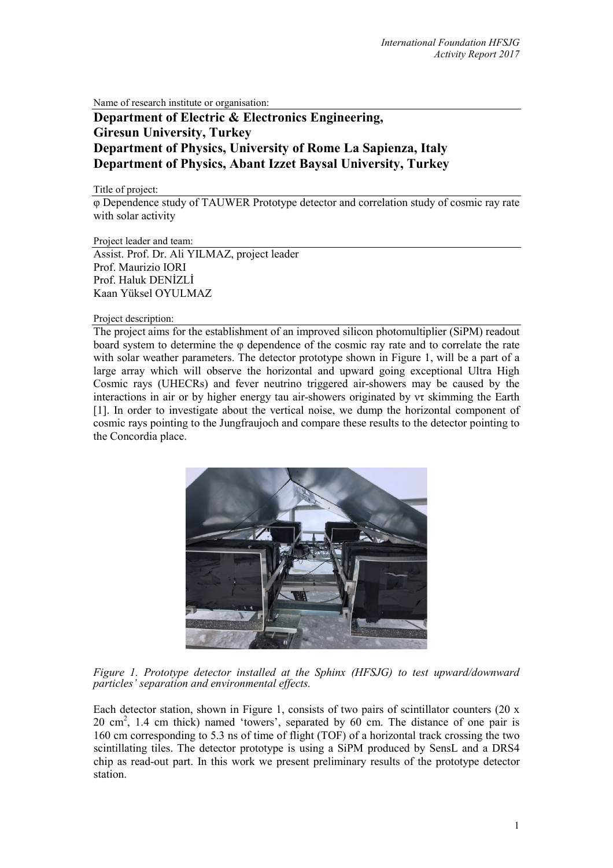Name of research institute or organisation:

# **Department of Electric & Electronics Engineering, Giresun University, Turkey Department of Physics, University of Rome La Sapienza, Italy Department of Physics, Abant Izzet Baysal University, Turkey**

Title of project:

φ Dependence study of TAUWER Prototype detector and correlation study of cosmic ray rate with solar activity

Project leader and team:

Assist. Prof. Dr. Ali YILMAZ, project leader Prof. Maurizio IORI Prof. Haluk DENİZLİ Kaan Yüksel OYULMAZ

Project description:

The project aims for the establishment of an improved silicon photomultiplier (SiPM) readout board system to determine the φ dependence of the cosmic ray rate and to correlate the rate with solar weather parameters. The detector prototype shown in Figure 1, will be a part of a large array which will observe the horizontal and upward going exceptional Ultra High Cosmic rays (UHECRs) and fever neutrino triggered air-showers may be caused by the interactions in air or by higher energy tau air-showers originated by  $\nu\tau$  skimming the Earth [1]. In order to investigate about the vertical noise, we dump the horizontal component of cosmic rays pointing to the Jungfraujoch and compare these results to the detector pointing to the Concordia place.



*Figure 1. Prototype detector installed at the Sphinx (HFSJG) to test upward/downward particles' separation and environmental effects.*

Each detector station, shown in Figure 1, consists of two pairs of scintillator counters (20  $x$ ) 20 cm<sup>2</sup>, 1.4 cm thick) named 'towers', separated by 60 cm. The distance of one pair is 160 cm corresponding to 5.3 ns of time of flight (TOF) of a horizontal track crossing the two scintillating tiles. The detector prototype is using a SiPM produced by SensL and a DRS4 chip as read-out part. In this work we present preliminary results of the prototype detector station.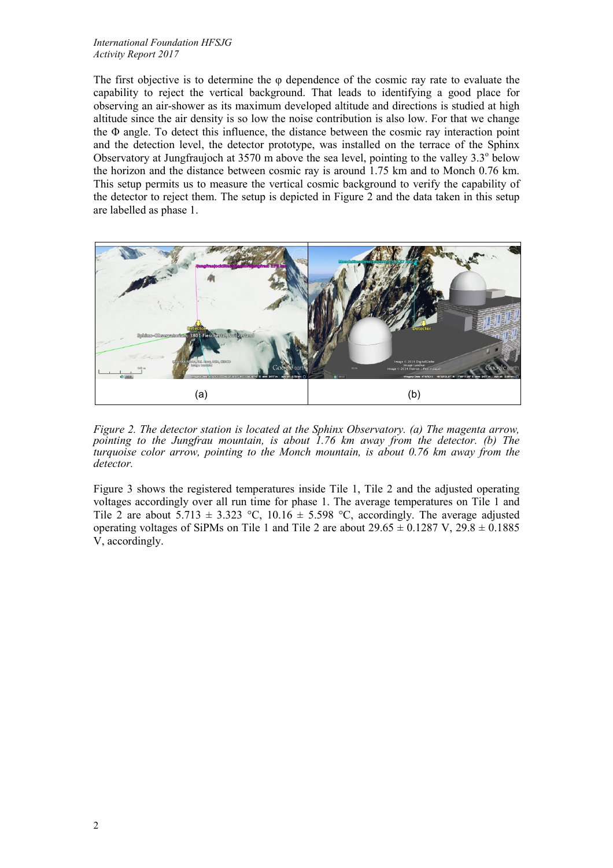### *International Foundation HFSJG Activity Report 2017*

The first objective is to determine the φ dependence of the cosmic ray rate to evaluate the capability to reject the vertical background. That leads to identifying a good place for observing an air-shower as its maximum developed altitude and directions is studied at high altitude since the air density is so low the noise contribution is also low. For that we change the Φ angle. To detect this influence, the distance between the cosmic ray interaction point and the detection level, the detector prototype, was installed on the terrace of the Sphinx Observatory at Jungfraujoch at  $3570$  m above the sea level, pointing to the valley  $3.3^\circ$  below the horizon and the distance between cosmic ray is around 1.75 km and to Monch 0.76 km. This setup permits us to measure the vertical cosmic background to verify the capability of the detector to reject them. The setup is depicted in Figure 2 and the data taken in this setup are labelled as phase 1.



*Figure 2. The detector station is located at the Sphinx Observatory. (a) The magenta arrow, pointing to the Jungfrau mountain, is about 1.76 km away from the detector. (b) The turquoise color arrow, pointing to the Monch mountain, is about 0.76 km away from the detector.*

Figure 3 shows the registered temperatures inside Tile 1, Tile 2 and the adjusted operating voltages accordingly over all run time for phase 1. The average temperatures on Tile 1 and Tile 2 are about  $5.713 \pm 3.323$  °C,  $10.16 \pm 5.598$  °C, accordingly. The average adjusted operating voltages of SiPMs on Tile 1 and Tile 2 are about  $29.65 \pm 0.1287$  V,  $29.8 \pm 0.1885$ V, accordingly.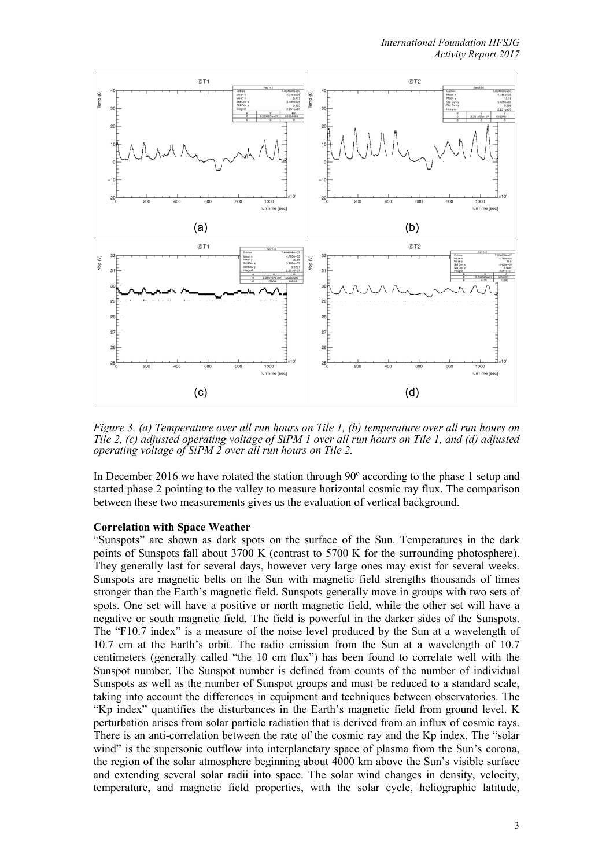

*Figure 3. (a) Temperature over all run hours on Tile 1, (b) temperature over all run hours on* Tile 2, (c) adjusted operating voltage of SiPM 1 over all run hours on Tile 1, and (d) adjusted *operating voltage of SiPM 2 over all run hours on Tile 2.*

In December 2016 we have rotated the station through 90º according to the phase 1 setup and started phase 2 pointing to the valley to measure horizontal cosmic ray flux. The comparison between these two measurements gives us the evaluation of vertical background.

## **Correlation with Space Weather**

"Sunspots" are shown as dark spots on the surface of the Sun. Temperatures in the dark points of Sunspots fall about 3700 K (contrast to 5700 K for the surrounding photosphere). They generally last for several days, however very large ones may exist for several weeks. Sunspots are magnetic belts on the Sun with magnetic field strengths thousands of times stronger than the Earth's magnetic field. Sunspots generally move in groups with two sets of spots. One set will have a positive or north magnetic field, while the other set will have a negative or south magnetic field. The field is powerful in the darker sides of the Sunspots. The "F10.7 index" is a measure of the noise level produced by the Sun at a wavelength of 10.7 cm at the Earth's orbit. The radio emission from the Sun at a wavelength of 10.7 centimeters (generally called "the 10 cm flux") has been found to correlate well with the Sunspot number. The Sunspot number is defined from counts of the number of individual Sunspots as well as the number of Sunspot groups and must be reduced to a standard scale, taking into account the differences in equipment and techniques between observatories. The "Kp index" quantifies the disturbances in the Earth's magnetic field from ground level. K perturbation arises from solar particle radiation that is derived from an influx of cosmic rays. There is an anti-correlation between the rate of the cosmic ray and the Kp index. The "solar wind" is the supersonic outflow into interplanetary space of plasma from the Sun's corona, the region of the solar atmosphere beginning about 4000 km above the Sun's visible surface and extending several solar radii into space. The solar wind changes in density, velocity, temperature, and magnetic field properties, with the solar cycle, heliographic latitude,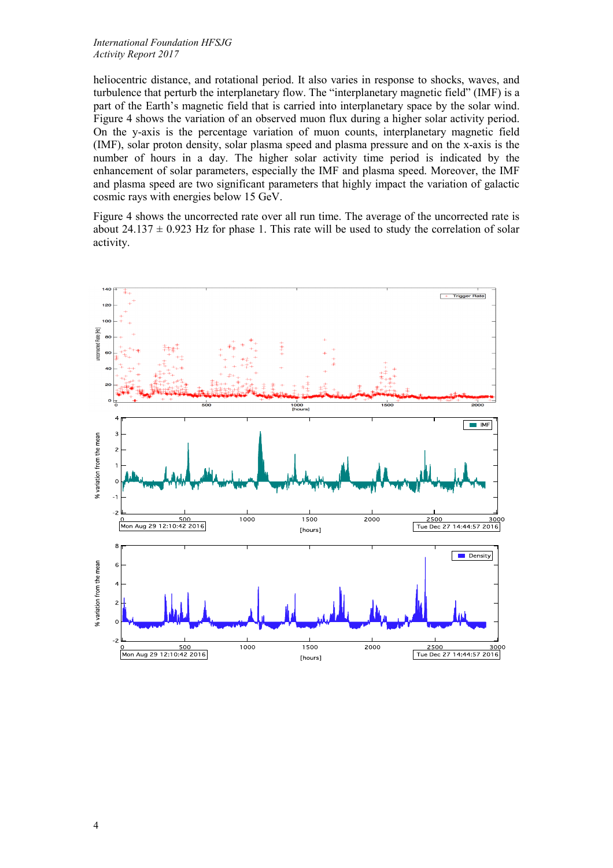#### *International Foundation HFSJG Activity Report 2017*

heliocentric distance, and rotational period. It also varies in response to shocks, waves, and turbulence that perturb the interplanetary flow. The "interplanetary magnetic field" (IMF) is a part of the Earth's magnetic field that is carried into interplanetary space by the solar wind. Figure 4 shows the variation of an observed muon flux during a higher solar activity period. On the y-axis is the percentage variation of muon counts, interplanetary magnetic field (IMF), solar proton density, solar plasma speed and plasma pressure and on the x-axis is the number of hours in a day. The higher solar activity time period is indicated by the enhancement of solar parameters, especially the IMF and plasma speed. Moreover, the IMF and plasma speed are two significant parameters that highly impact the variation of galactic cosmic rays with energies below 15 GeV.

Figure 4 shows the uncorrected rate over all run time. The average of the uncorrected rate is about 24.137  $\pm$  0.923 Hz for phase 1. This rate will be used to study the correlation of solar activity.

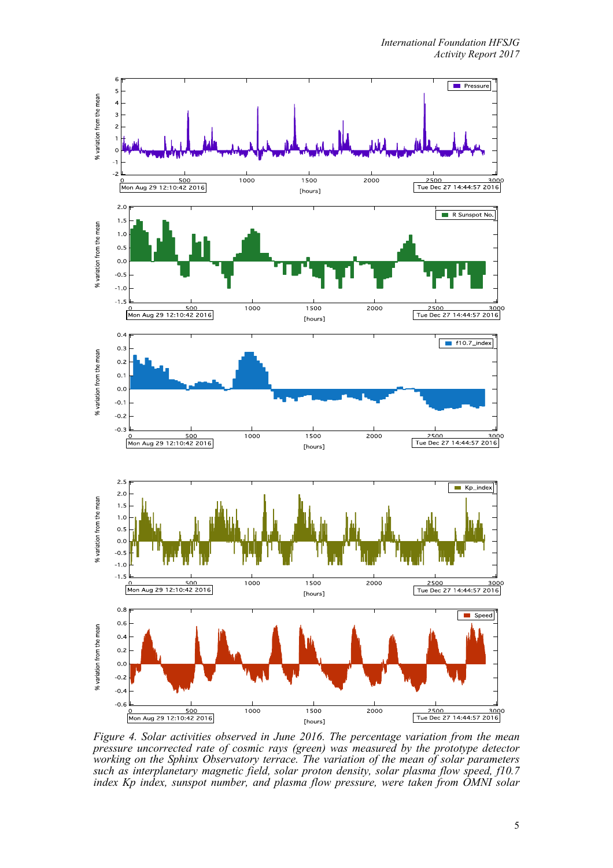

*Figure 4. Solar activities observed in June 2016. The percentage variation from the mean pressure uncorrected rate of cosmic rays (green) was measured by the prototype detector working on the Sphinx Observatory terrace. The variation of the mean of solar parameters such as interplanetary magnetic field, solar proton density, solar plasma flow speed, f10.7 index Kp index, sunspot number, and plasma flow pressure, were taken from OMNI solar*